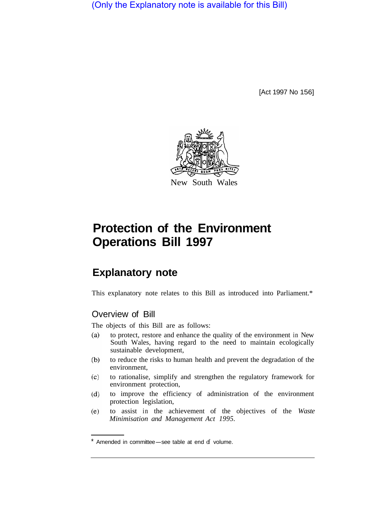(Only the Explanatory note is available for this Bill)

[Act 1997 No 156]



# **Protection of the Environment Operations Bill 1997**

## **Explanatory note**

This explanatory note relates to this Bill as introduced into Parliament.\*

## Overview of Bill

The objects of this Bill are as follows:

- to protect, restore and enhance the quality of the environment in New  $(a)$ South Wales, having regard to the need to maintain ecologically sustainable development,
- $(b)$ to reduce the risks to human health and prevent the degradation of the environment,
- to rationalise, simplify and strengthen the regulatory framework for  $(c)$ environment protection,
- to improve the efficiency of administration of the environment  $(d)$ protection legislation,
- to assist in the achievement of the objectives of the *Waste*   $(e)$ *Minimisation and Management Act 1995.*

 $*$  Amended in committee-see table at end  $d$  volume.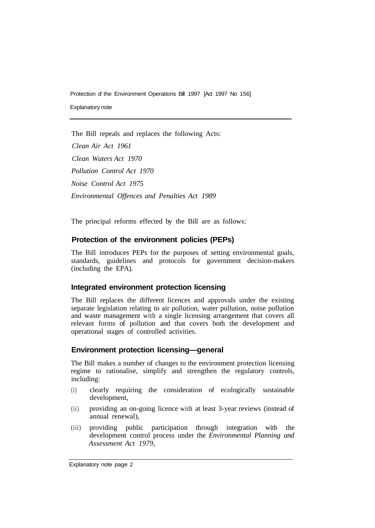Protection of the Environment Operations Bill 1997 [Act 1997 No 156] Explanatory note

The Bill repeals and replaces the following Acts:

*Clean Air Act 1961 Clean Waters Act 1970 Pollution Control Act 1970 Noise Control Act 1975 Environmental Offences and Penalties Act 1989* 

The principal reforms effected by the Bill are as follows:

## **Protection of the environment policies (PEPs)**

The Bill introduces PEPs for the purposes of setting environmental goals, standards, guidelines and protocols for government decision-makers (including the EPA).

## **Integrated environment protection licensing**

The Bill replaces the different licences and approvals under the existing separate legislation relating to air pollution, water pollution, noise pollution and waste management with a single licensing arrangement that covers all relevant forms of pollution and that covers both the development and operational stages of controlled activities.

## **Environment protection licensing—general**

The Bill makes a number of changes to the environment protection licensing regime to rationalise, simplify and strengthen the regulatory controls, including:

- (i) clearly requiring the consideration of ecologically sustainable development,
- (ii) providing an on-going licence with at least 3-year reviews (instead of annual renewal),
- (iii) providing public participation through integration with the development control process under the *Environmental Planning and Assessment Act 1979,*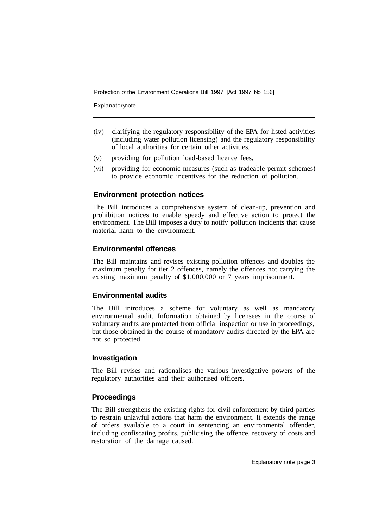Explanatorynote

- (iv) clarifying the regulatory responsibility of the EPA for listed activities (including water pollution licensing) and the regulatory responsibility of local authorities for certain other activities,
- (v) providing for pollution load-based licence fees,
- (vi) providing for economic measures (such as tradeable permit schemes) to provide economic incentives for the reduction of pollution.

## **Environment protection notices**

The Bill introduces a comprehensive system of clean-up, prevention and prohibition notices to enable speedy and effective action to protect the environment. The Bill imposes a duty to notify pollution incidents that cause material harm to the environment.

## **Environmental offences**

The Bill maintains and revises existing pollution offences and doubles the maximum penalty for tier 2 offences, namely the offences not carrying the existing maximum penalty of \$1,000,000 or 7 years imprisonment.

#### **Environmental audits**

The Bill introduces a scheme for voluntary as well as mandatory environmental audit. Information obtained by licensees in the course of voluntary audits are protected from official inspection or use in proceedings, but those obtained in the course of mandatory audits directed by the EPA are not so protected.

#### **Investigation**

The Bill revises and rationalises the various investigative powers of the regulatory authorities and their authorised officers.

#### **Proceedings**

The Bill strengthens the existing rights for civil enforcement by third parties to restrain unlawful actions that harm the environment. It extends the range of orders available to a court in sentencing an environmental offender, including confiscating profits, publicising the offence, recovery of costs and restoration of the damage caused.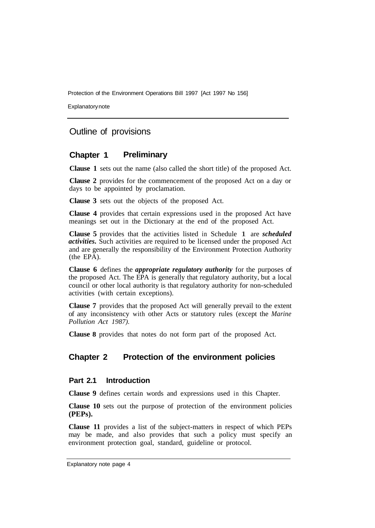Explanatory note

## Outline of provisions

#### **Chapter 1 Preliminary**

**Clause 1** sets out the name (also called the short title) of the proposed Act.

**Clause 2** provides for the commencement of the proposed Act on a day or days to be appointed by proclamation.

**Clause 3** sets out the objects of the proposed Act.

**Clause 4** provides that certain expressions used in the proposed Act have meanings set out in the Dictionary at the end of the proposed Act.

**Clause 5** provides that the activities listed in Schedule 1 are *scheduled activities.* Such activities are required to be licensed under the proposed Act and are generally the responsibility of the Environment Protection Authority (the EPA).

**Clause 6** defines the *appropriate regulatory authority* for the purposes of the proposed Act. The EPA is generally that regulatory authority, but a local council or other local authority is that regulatory authority for non-scheduled activities (with certain exceptions).

**Clause 7** provides that the proposed Act will generally prevail to the extent of any inconsistency with other Acts or statutory rules (except the *Marine Pollution Act 1987).* 

**Clause 8** provides that notes do not form part of the proposed Act.

## **Chapter 2 Protection of the environment policies**

#### **Part 2.1 Introduction**

**Clause 9** defines certain words and expressions used in this Chapter.

**Clause 10** sets out the purpose of protection of the environment policies **(PEPs).** 

**Clause 11** provides a list of the subject-matters in respect of which PEPs may be made, and also provides that such a policy must specify an environment protection goal, standard, guideline or protocol.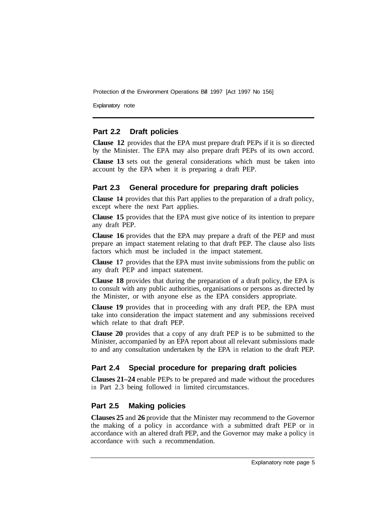Explanatory note

#### **Part 2.2 Draft policies**

**Clause 12** provides that the EPA must prepare draft PEPs if it is so directed by the Minister. The EPA may also prepare draft PEPs of its own accord.

**Clause 13** sets out the general considerations which must be taken into account by the EPA when it is preparing a draft PEP.

#### **Part 2.3 General procedure for preparing draft policies**

**Clause 14** provides that this Part applies to the preparation of a draft policy, except where the next Part applies.

**Clause 15** provides that the EPA must give notice of its intention to prepare any draft PEP.

**Clause 16** provides that the EPA may prepare a draft of the PEP and must prepare an impact statement relating to that draft PEP. The clause also lists factors which must be included in the impact statement.

**Clause 17** provides that the EPA must invite submissions from the public on any draft PEP and impact statement.

**Clause 18** provides that during the preparation of a draft policy, the EPA is to consult with any public authorities, organisations or persons as directed by the Minister, or with anyone else as the EPA considers appropriate.

**Clause 19** provides that in proceeding with any draft PEP, the EPA must take into consideration the impact statement and any submissions received which relate to that draft PEP.

**Clause 20** provides that a copy of any draft PEP is to be submitted to the Minister, accompanied by an EPA report about all relevant submissions made to and any consultation undertaken by the EPA in relation to the draft PEP.

## **Part 2.4 Special procedure for preparing draft policies**

**Clauses 21–24** enable PEPs to be prepared and made without the procedures in Part 2.3 being followed in limited circumstances.

#### **Part 2.5 Making policies**

**Clauses 25** and **26** provide that the Minister may recommend to the Governor the making of a policy in accordance with a submitted draft PEP or in accordance with an altered draft PEP, and the Governor may make a policy in accordance with such a recommendation.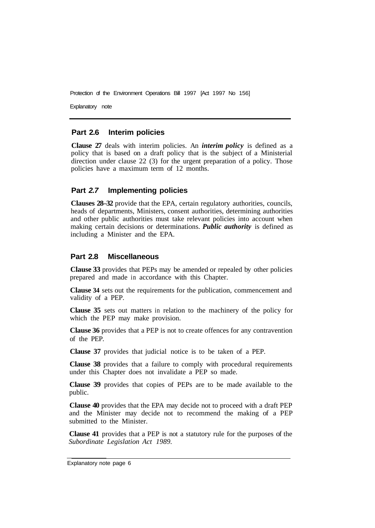Explanatory note

#### **Part 2.6 Interim policies**

**Clause 27** deals with interim policies. An *interim policy* is defined as a policy that is based on a draft policy that is the subject of a Ministerial direction under clause 22 (3) for the urgent preparation of a policy. Those policies have a maximum term of 12 months.

#### **Part** *2.7* **Implementing policies**

**Clauses 28–32** provide that the EPA, certain regulatory authorities, councils, heads of departments, Ministers, consent authorities, determining authorities and other public authorities must take relevant policies into account when making certain decisions or determinations. *Public authority* is defined as including a Minister and the EPA.

#### **Part 2.8 Miscellaneous**

**Clause 33** provides that PEPs may be amended or repealed by other policies prepared and made in accordance with this Chapter.

**Clause 34** sets out the requirements for the publication, commencement and validity of a PEP.

**Clause 35** sets out matters in relation to the machinery of the policy for which the PEP may make provision.

**Clause 36** provides that a PEP is not to create offences for any contravention of the PEP.

**Clause 37** provides that judicial notice is to be taken of a PEP.

**Clause 38** provides that a failure to comply with procedural requirements under this Chapter does not invalidate a PEP so made.

**Clause 39** provides that copies of PEPs are to be made available to the public.

**Clause 40** provides that the EPA may decide not to proceed with a draft PEP and the Minister may decide not to recommend the making of a PEP submitted to the Minister

**Clause 41** provides that a PEP is not a statutory rule for the purposes of the *Subordinate Legislation Act 1989.* 

Explanatory note page 6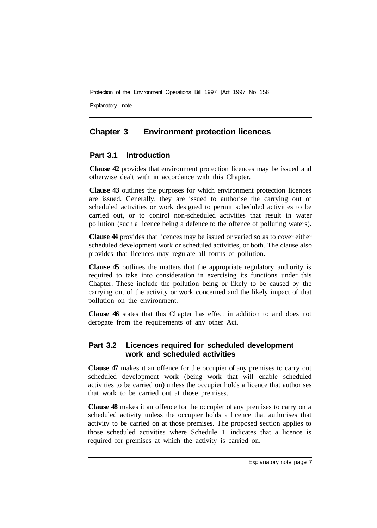Explanatory note

## **Chapter 3 Environment protection licences**

#### **Part 3.1 Introduction**

**Clause 42** provides that environment protection licences may be issued and otherwise dealt with in accordance with this Chapter.

**Clause 43** outlines the purposes for which environment protection licences are issued. Generally, they are issued to authorise the carrying out of scheduled activities or work designed to permit scheduled activities to be carried out, or to control non-scheduled activities that result in water pollution (such a licence being a defence to the offence of polluting waters).

**Clause 44** provides that licences may be issued or varied so as to cover either scheduled development work or scheduled activities, or both. The clause also provides that licences may regulate all forms of pollution.

**Clause 45** outlines the matters that the appropriate regulatory authority is required to take into consideration in exercising its functions under this Chapter. These include the pollution being or likely to be caused by the carrying out of the activity or work concerned and the likely impact of that pollution on the environment.

**Clause 46** states that this Chapter has effect in addition to and does not derogate from the requirements of any other Act.

## **Part 3.2 Licences required for scheduled development work and scheduled activities**

**Clause 47** makes it an offence for the occupier of any premises to carry out scheduled development work (being work that will enable scheduled activities to be carried on) unless the occupier holds a licence that authorises that work to be carried out at those premises.

**Clause 48** makes it an offence for the occupier of any premises to carry on a scheduled activity unless the occupier holds a licence that authorises that activity to be carried on at those premises. The proposed section applies to those scheduled activities where Schedule 1 indicates that a licence is required for premises at which the activity is carried on.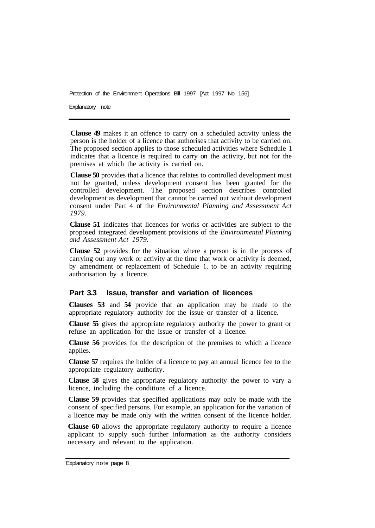Explanatory note

**Clause 49** makes it an offence to carry on a scheduled activity unless the person is the holder of a licence that authorises that activity to be carried on. The proposed section applies to those scheduled activities where Schedule 1 indicates that a licence is required to carry on the activity, but not for the premises at which the activity is carried on.

**Clause 50** provides that a licence that relates to controlled development must not be granted, unless development consent has been granted for the controlled development. The proposed section describes controlled development as development that cannot be carried out without development consent under Part 4 of the *Environmental Planning and Assessment Act 1979.* 

**Clause 51** indicates that licences for works or activities are subject to the proposed integrated development provisions of the *Environmental Planning and Assessment Act 1979.* 

**Clause 52** provides for the situation where a person is in the process of carrying out any work or activity at the time that work or activity is deemed, by amendment or replacement of Schedule 1, to be an activity requiring authorisation by a licence.

#### **Part 3.3 Issue, transfer and variation of licences**

**Clauses 53** and **54** provide that an application may be made to the appropriate regulatory authority for the issue or transfer of a licence.

**Clause 55** gives the appropriate regulatory authority the power to grant or refuse an application for the issue or transfer of a licence.

**Clause 56** provides for the description of the premises to which a licence applies.

**Clause 57** requires the holder of a licence to pay an annual licence fee to the appropriate regulatory authority.

**Clause 58** gives the appropriate regulatory authority the power to vary a licence, including the conditions of a licence.

**Clause 59** provides that specified applications may only be made with the consent of specified persons. For example, an application for the variation of a licence may be made only with the written consent of the licence holder.

**Clause 60** allows the appropriate regulatory authority to require a licence applicant to supply such further information as the authority considers necessary and relevant to the application.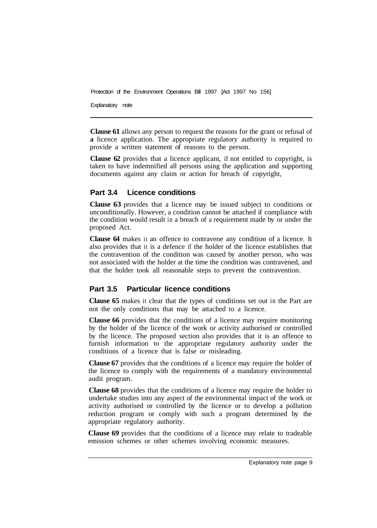Explanatory note

**Clause 61** allows any person to request the reasons for the grant or refusal of **a** licence application. The appropriate regulatory authority is required to provide a written statement of reasons to the person.

**Clause 62** provides that a licence applicant, if not entitled to copyright, is taken to have indemnified all persons using the application and supporting documents against any claim or action for breach of copyright,

## **Part 3.4 Licence conditions**

**Clause 63** provides that a licence may be issued subject to conditions or unconditionally. However, a condition cannot be attached if compliance with the condition would result in a breach of a requirement made by or under the proposed Act.

**Clause 64** makes it an offence to contravene any condition of a licence. It also provides that it is a defence if the holder of the licence establishes that the contravention of the condition was caused by another person, who was not associated with the holder at the time the condition was contravened, and that the holder took all reasonable steps to prevent the contravention.

#### **Part 3.5 Particular licence conditions**

**Clause 65** makes it clear that the types of conditions set out in the Part are not the only conditions that may be attached to a licence.

**Clause 66** provides that the conditions of a licence may require monitoring by the holder of the licence of the work or activity authorised or controlled by the licence. The proposed section also provides that it is an offence to furnish information to the appropriate regulatory authority under the conditions of a licence that is false or misleading.

**Clause 67** provides that the conditions of a licence may require the holder of the licence to comply with the requirements of a mandatory environmental audit program.

**Clause 68** provides that the conditions of a licence may require the holder to undertake studies into any aspect of the environmental impact of the work or activity authorised or controlled by the licence or to develop a pollution reduction program or comply with such a program determined by the appropriate regulatory authority.

**Clause 69** provides that the conditions of a licence may relate to tradeable emission schemes or other schemes involving economic measures.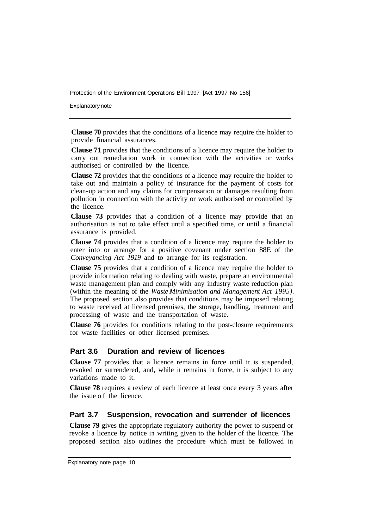Explanatory note

**Clause 70** provides that the conditions of a licence may require the holder to provide financial assurances.

**Clause 71** provides that the conditions of a licence may require the holder to carry out remediation work in connection with the activities or works authorised or controlled by the licence.

**Clause 72** provides that the conditions of a licence may require the holder to take out and maintain a policy of insurance for the payment of costs for clean-up action and any claims for compensation or damages resulting from pollution in connection with the activity or work authorised or controlled by the licence.

**Clause 73** provides that a condition of a licence may provide that an authorisation is not to take effect until a specified time, or until a financial assurance is provided.

**Clause 74** provides that a condition of a licence may require the holder to enter into or arrange for a positive covenant under section 88E of the *Conveyancing Act 1919* and to arrange for its registration.

**Clause 75** provides that a condition of a licence may require the holder to provide information relating to dealing with waste, prepare an environmental waste management plan and comply with any industry waste reduction plan (within the meaning of the *Waste Minimisation and Management Act 1995).*  The proposed section also provides that conditions may be imposed relating to waste received at licensed premises, the storage, handling, treatment and processing of waste and the transportation of waste.

**Clause 76** provides for conditions relating to the post-closure requirements for waste facilities or other licensed premises.

#### **Part 3.6 Duration and review of licences**

**Clause 77** provides that a licence remains in force until it is suspended, revoked or surrendered, and, while it remains in force, it is subject to any variations made to it.

**Clause 78** requires a review of each licence at least once every 3 years after the issue of the licence.

#### **Part 3.7 Suspension, revocation and surrender of licences**

**Clause 79** gives the appropriate regulatory authority the power to suspend or revoke a licence by notice in writing given to the holder of the licence. The proposed section also outlines the procedure which must be followed in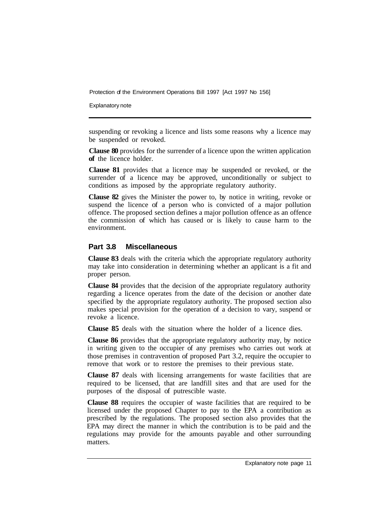Explanatory note

suspending or revoking a licence and lists some reasons why a licence may be suspended or revoked.

**Clause 80** provides for the surrender of a licence upon the written application **of** the licence holder.

**Clause 81** provides that a licence may be suspended or revoked, or the surrender of a licence may be approved, unconditionally or subject to conditions as imposed by the appropriate regulatory authority.

**Clause 82** gives the Minister the power to, by notice in writing, revoke or suspend the licence of a person who is convicted of a major pollution offence. The proposed section defines a major pollution offence as an offence the commission of which has caused or is likely to cause harm to the environment.

#### **Part 3.8 Miscellaneous**

**Clause 83** deals with the criteria which the appropriate regulatory authority may take into consideration in determining whether an applicant is a fit and proper person.

**Clause 84** provides that the decision of the appropriate regulatory authority regarding a licence operates from the date of the decision or another date specified by the appropriate regulatory authority. The proposed section also makes special provision for the operation of a decision to vary, suspend or revoke a licence.

**Clause 85** deals with the situation where the holder of a licence dies.

**Clause 86** provides that the appropriate regulatory authority may, by notice in writing given to the occupier of any premises who carries out work at those premises in contravention of proposed Part 3.2, require the occupier to remove that work or to restore the premises to their previous state.

**Clause 87** deals with licensing arrangements for waste facilities that are required to be licensed, that are landfill sites and that are used for the purposes of the disposal of putrescible waste.

**Clause 88** requires the occupier of waste facilities that are required to be licensed under the proposed Chapter to pay to the EPA a contribution as prescribed by the regulations. The proposed section also provides that the EPA may direct the manner in which the contribution is to be paid and the regulations may provide for the amounts payable and other surrounding matters.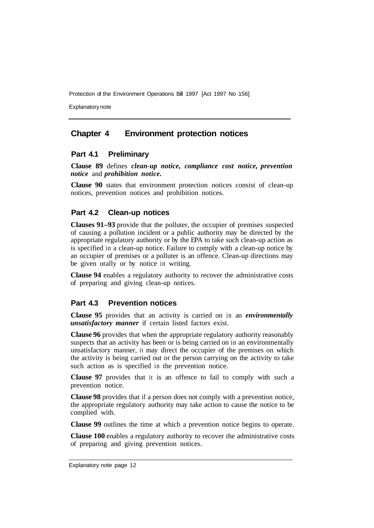Explanatory note

## **Chapter 4 Environment protection notices**

#### **Part 4.1 Preliminary**

**Clause 89** defines *clean-up notice, compliance cost notice, prevention notice* and *prohibition notice.* 

**Clause 90** states that environment protection notices consist of clean-up notices, prevention notices and prohibition notices.

#### **Part 4.2 Clean-up notices**

**Clauses 91–93** provide that the polluter, the occupier of premises suspected of causing a pollution incident or a public authority may be directed by the appropriate regulatory authority or by the EPA to take such clean-up action as is specified in a clean-up notice. Failure to comply with a clean-up notice by an occupier of premises or a polluter is an offence. Clean-up directions may be given orally or by notice in writing.

**Clause 94** enables a regulatory authority to recover the administrative costs of preparing and giving clean-up notices.

#### **Part 4.3 Prevention notices**

**Clause 95** provides that an activity is carried on in an *environmentally unsatisfactory manner* if certain listed factors exist.

**Clause 96** provides that when the appropriate regulatory authority reasonably suspects that an activity has been or is being carried on in an environmentally unsatisfactory manner, it may direct the occupier of the premises on which the activity is being carried out or the person carrying on the activity to take such action as is specified in the prevention notice.

**Clause 97** provides that it is an offence to fail to comply with such a prevention notice.

**Clause 98** provides that if a person does not comply with a prevention notice, the appropriate regulatory authority may take action to cause the notice to be complied with.

**Clause 99** outlines the time at which a prevention notice begins to operate.

**Clause 100** enables a regulatory authority to recover the administrative costs of preparing and giving prevention notices.

Explanatory note page 12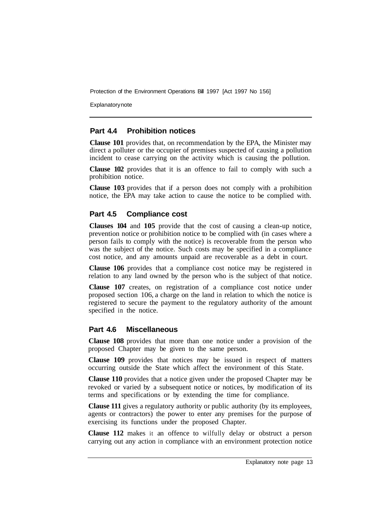**Explanatory note** 

#### **Part 4.4 Prohibition notices**

**Clause 101** provides that, on recommendation by the EPA, the Minister may direct a polluter or the occupier of premises suspected of causing a pollution incident to cease carrying on the activity which is causing the pollution.

**Clause 102** provides that it is an offence to fail to comply with such a prohibition notice.

**Clause 103** provides that if a person does not comply with a prohibition notice, the EPA may take action to cause the notice to be complied with.

#### **Part 4.5 Compliance cost**

**Clauses 104** and **105** provide that the cost of causing a clean-up notice, prevention notice or prohibition notice to be complied with (in cases where a person fails to comply with the notice) is recoverable from the person who was the subject of the notice. Such costs may be specified in a compliance cost notice, and any amounts unpaid are recoverable as a debt in court.

**Clause 106** provides that a compliance cost notice may be registered in relation to any land owned by the person who is the subject of that notice.

**Clause 107** creates, on registration of a compliance cost notice under proposed section 106, a charge on the land in relation to which the notice is registered to secure the payment to the regulatory authority of the amount specified in the notice.

#### **Part 4.6 Miscellaneous**

**Clause 108** provides that more than one notice under a provision of the proposed Chapter may be given to the same person.

**Clause 109** provides that notices may be issued in respect of matters occurring outside the State which affect the environment of this State.

**Clause 110** provides that a notice given under the proposed Chapter may be revoked or varied by a subsequent notice or notices, by modification of its terms and specifications or by extending the time for compliance.

**Clause 111** gives a regulatory authority or public authority (by its employees, agents or contractors) the power to enter any premises for the purpose of exercising its functions under the proposed Chapter.

**Clause 112** makes it an offence to wilfully delay or obstruct a person carrying out any action in compliance with an environment protection notice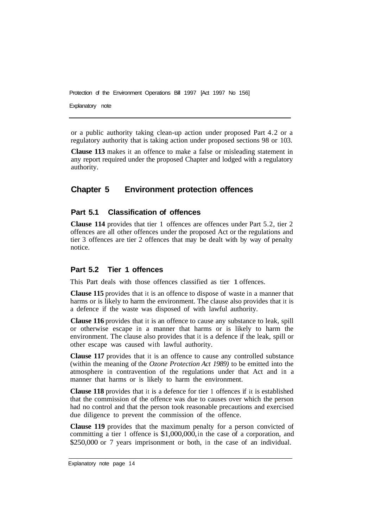Explanatory note

or a public authority taking clean-up action under proposed Part 4.2 or a regulatory authority that is taking action under proposed sections 98 or 103.

**Clause 113** makes it an offence to make a false or misleading statement in any report required under the proposed Chapter and lodged with a regulatory authority.

## **Chapter 5 Environment protection offences**

## **Part 5.1 Classification of offences**

**Clause 114** provides that tier 1 offences are offences under Part 5.2, tier 2 offences are all other offences under the proposed Act or the regulations and tier 3 offences are tier 2 offences that may be dealt with by way of penalty notice.

#### **Part 5.2 Tier 1 offences**

This Part deals with those offences classified as tier 1 offences.

**Clause 115** provides that it is an offence to dispose of waste in a manner that harms or is likely to harm the environment. The clause also provides that it is a defence if the waste was disposed of with lawful authority.

**Clause 116** provides that it is an offence to cause any substance to leak, spill or otherwise escape in a manner that harms or is likely to harm the environment. The clause also provides that it is a defence if the leak, spill or other escape was caused with lawful authority.

**Clause 117** provides that it is an offence to cause any controlled substance (within the meaning of the *Ozone Protection Act 1989)* to be emitted into the atmosphere in contravention of the regulations under that Act and in a manner that harms or is likely to harm the environment.

**Clause 118** provides that it is a defence for tier **1** offences if it is established that the commission of the offence was due to causes over which the person had no control and that the person took reasonable precautions and exercised due diligence to prevent the commission of the offence.

**Clause 119** provides that the maximum penalty for a person convicted of committing a tier **1** offence is \$1,000,000, in the case of a corporation, and \$250,000 or 7 years imprisonment or both, in the case of an individual.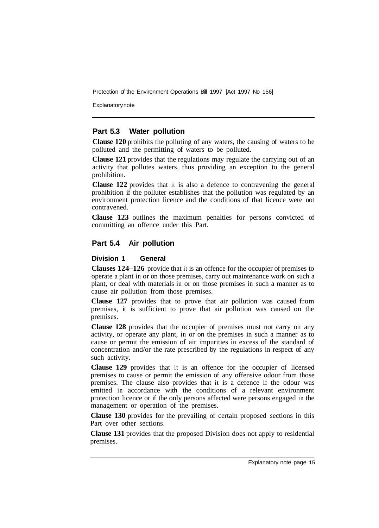**Explanatory note** 

#### **Part 5.3 Water pollution**

**Clause 120** prohibits the polluting of any waters, the causing of waters to be polluted and the permitting of waters to be polluted.

**Clause 121** provides that the regulations may regulate the carrying out of an activity that pollutes waters, thus providing an exception to the general prohibition.

**Clause 122** provides that it is also a defence to contravening the general prohibition if the polluter establishes that the pollution was regulated by an environment protection licence and the conditions of that licence were not contravened.

**Clause 123** outlines the maximum penalties for persons convicted of committing an offence under this Part.

#### **Part 5.4 Air pollution**

#### **Division 1 General**

**Clauses 124–126** provide that it is an offence for the occupier of premises to operate a plant in or on those premises, carry out maintenance work on such a plant, or deal with materials in or on those premises in such a manner as to cause air pollution from those premises.

**Clause 127** provides that to prove that air pollution was caused from premises, it is sufficient to prove that air pollution was caused on the premises.

**Clause 128** provides that the occupier of premises must not carry on any activity, or operate any plant, in or on the premises in such a manner as to cause or permit the emission of air impurities in excess of the standard of concentration and/or the rate prescribed by the regulations in respect of any such activity.

**Clause 129** provides that it is an offence for the occupier of licensed premises to cause or permit the emission of any offensive odour from those premises. The clause also provides that **it** is a defence if the odour was emitted in accordance with the conditions of a relevant environment protection licence or if the only persons affected were persons engaged in the management or operation of the premises.

**Clause 130** provides for the prevailing of certain proposed sections in this Part over other sections.

**Clause 131** provides that the proposed Division does not apply to residential premises.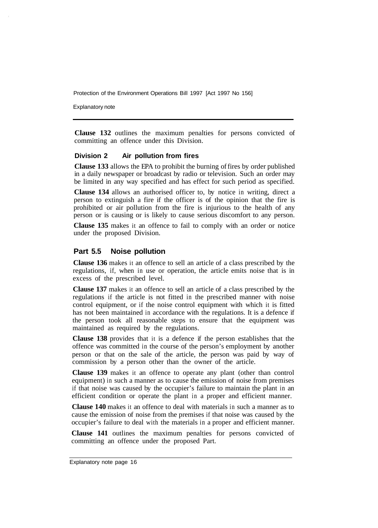Explanatory note

**Clause 132** outlines the maximum penalties for persons convicted of committing an offence under this Division.

#### **Division 2 Air pollution from fires**

**Clause 133** allows the EPA to prohibit the burning of fires by order published in a daily newspaper or broadcast by radio or television. Such an order may be limited in any way specified and has effect for such period as specified.

**Clause 134** allows an authorised officer to, by notice in writing, direct a person to extinguish a fire if the officer is of the opinion that the fire is prohibited or air pollution from the fire is injurious to the health of any person or is causing or is likely to cause serious discomfort to any person.

**Clause 135** makes it an offence to fail to comply with an order or notice under the proposed Division.

#### **Part 5.5 Noise pollution**

**Clause 136** makes it an offence to sell an article of a class prescribed by the regulations, if, when in use or operation, the article emits noise that is in excess of the prescribed level.

**Clause 137** makes it an offence to sell an article of a class prescribed by the regulations if the article is not fitted in the prescribed manner with noise control equipment, or if the noise control equipment with which it is fitted has not been maintained in accordance with the regulations. It is a defence if the person took all reasonable steps to ensure that the equipment was maintained as required by the regulations.

**Clause 138** provides that it is a defence if the person establishes that the offence was committed in the course of the person's employment by another person or that on the sale of the article, the person was paid by way of commission by a person other than the owner of the article.

**Clause 139** makes it an offence to operate any plant (other than control equipment) in such a manner as to cause the emission of noise from premises if that noise was caused by the occupier's failure to maintain the plant in an efficient condition or operate the plant in a proper and efficient manner.

**Clause 140** makes it an offence to deal with materials in such a manner as to cause the emission of noise from the premises if that noise was caused by the occupier's failure to deal with the materials in a proper and efficient manner.

**Clause 141** outlines the maximum penalties for persons convicted of committing an offence under the proposed Part.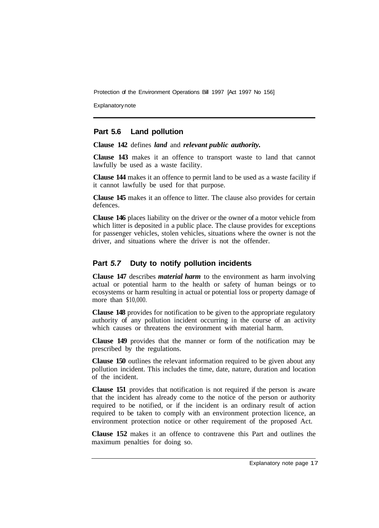Explanatory note

#### **Part 5.6 Land pollution**

**Clause 142** defines *land* and *relevant public authority.* 

**Clause 143** makes it an offence to transport waste to land that cannot lawfully be used as a waste facility.

**Clause 144** makes it an offence to permit land to be used as a waste facility if it cannot lawfully be used for that purpose.

**Clause 145** makes it an offence to litter. The clause also provides for certain defences.

**Clause 146** places liability on the driver or the owner of a motor vehicle from which litter is deposited in a public place. The clause provides for exceptions for passenger vehicles, stolen vehicles, situations where the owner is not the driver, and situations where the driver is not the offender.

#### **Part** *5.7* **Duty to notify pollution incidents**

**Clause 147** describes *material harm* to the environment as harm involving actual or potential harm to the health or safety of human beings or to ecosystems or harm resulting in actual or potential loss or property damage of more than \$10,000.

**Clause 148** provides for notification to be given to the appropriate regulatory authority of any pollution incident occurring in the course of an activity which causes or threatens the environment with material harm.

**Clause 149** provides that the manner or form of the notification may be prescribed by the regulations.

**Clause 150** outlines the relevant information required to be given about any pollution incident. This includes the time, date, nature, duration and location of the incident.

**Clause 151** provides that notification is not required if the person is aware that the incident has already come to the notice of the person or authority required to be notified, or if the incident is an ordinary result of action required to be taken to comply with an environment protection licence, an environment protection notice or other requirement of the proposed Act.

**Clause 152** makes it an offence to contravene this Part and outlines the maximum penalties for doing so.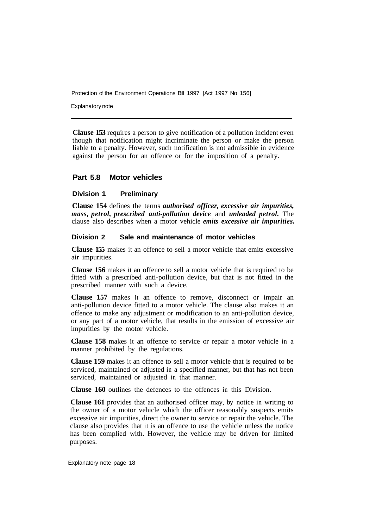Explanatory note

**Clause 153** requires a person to give notification of a pollution incident even though that notification might incriminate the person or make the person liable to a penalty. However, such notification is not admissible in evidence against the person for an offence or for the imposition of a penalty.

#### **Part 5.8 Motor vehicles**

#### **Division 1 Preliminary**

**Clause 154** defines the terms *authorised officer, excessive air impurities, mass, petrol, prescribed anti-pollution device* and *unleaded petrol.* The clause also describes when a motor vehicle *emits excessive air impurities.* 

#### **Division 2 Sale and maintenance of motor vehicles**

**Clause 155** makes it an offence to sell a motor vehicle that emits excessive air impurities.

**Clause 156** makes it an offence to sell a motor vehicle that is required to be fitted with a prescribed anti-pollution device, but that is not fitted in the prescribed manner with such a device.

**Clause 157** makes it an offence to remove, disconnect or impair an anti-pollution device fitted to a motor vehicle. The clause also makes it an offence to make any adjustment or modification to an anti-pollution device, or any part of a motor vehicle, that results in the emission of excessive air impurities by the motor vehicle.

**Clause 158** makes it an offence to service or repair a motor vehicle in a manner prohibited by the regulations.

**Clause 159** makes it an offence to sell a motor vehicle that is required to be serviced, maintained or adjusted in a specified manner, but that has not been serviced, maintained or adjusted in that manner.

**Clause 160** outlines the defences to the offences in this Division.

**Clause 161** provides that an authorised officer may, by notice in writing to the owner of a motor vehicle which the officer reasonably suspects emits excessive air impurities, direct the owner to service or repair the vehicle. The clause also provides that it is an offence to use the vehicle unless the notice has been complied with. However, the vehicle may be driven for limited purposes.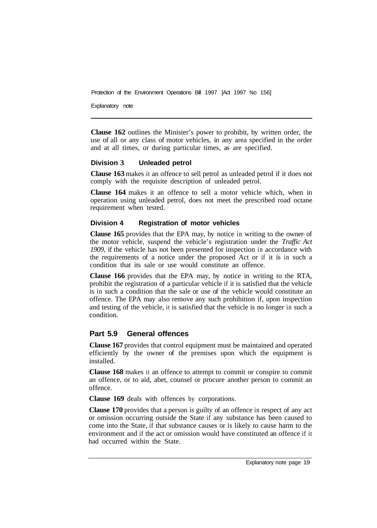Explanatory note

**Clause 162** outlines the Minister's power to prohibit, by written order, the use of all or any class of motor vehicles, in any area specified in the order and at all times, or during particular times, as are specified.

#### **Division 3 Unleaded petrol**

**Clause 163** makes it an offence to sell petrol as unleaded petrol if it does not comply with the requisite description of unleaded petrol.

**Clause 164** makes it an offence to sell a motor vehicle which, when in operation using unleaded petrol, does not meet the prescribed road octane requirement when tested.

#### **Division 4 Registration of motor vehicles**

**Clause 165** provides that the EPA may, by notice in writing to the owner- of the motor vehicle, suspend the vehicle's registration under the *Traffic Act 1909,* if the vehicle has not been presented for inspection in accordance with the requirements of a notice under the proposed Act or if it is in such a condition that its sale or use would constitute an offence.

**Clause 166** provides that the EPA may, by notice in writing to the RTA, prohibit the registration of a particular vehicle if it is satisfied that the vehicle is in such a condition that the sale or use of the vehicle would constitute an offence. The EPA may also remove any such prohibition if, upon inspection and testing of the vehicle, it is satisfied that the vehicle is no longer in such a condition.

#### **Part 5.9 General offences**

**Clause 167** provides that control equipment must be maintained and operated efficiently by the owner of the premises upon which the equipment is installed.

**Clause 168** makes it an offence to attempt to commit or conspire to commit an offence, or to aid, abet, counsel or procure another person to commit an offence.

**Clause 169** deals with offences by corporations.

**Clause 170** provides that a person is guilty of an offence in respect of any act or omission occurring outside the State if any substance has been caused to come into the State, if that substance causes or is likely to cause harm to the environment and if the act or omission would have constituted an offence if it had occurred within the State.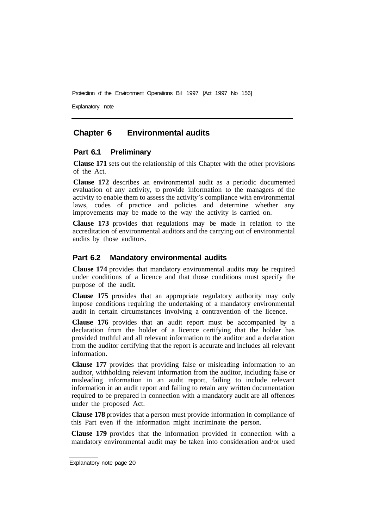Explanatory note

## **Chapter 6 Environmental audits**

#### **Part 6.1 Preliminary**

**Clause 171** sets out the relationship of this Chapter with the other provisions of the Act.

**Clause 172** describes an environmental audit as a periodic documented evaluation of any activity, to provide information to the managers of the activity to enable them to assess the activity's compliance with environmental laws, codes of practice and policies and determine whether any improvements may be made to the way the activity is carried on.

**Clause 173** provides that regulations may be made in relation to the accreditation of environmental auditors and the carrying out of environmental audits by those auditors.

#### **Part 6.2 Mandatory environmental audits**

**Clause 174** provides that mandatory environmental audits may be required under conditions of a licence and that those conditions must specify the purpose of the audit.

**Clause 175** provides that an appropriate regulatory authority may only impose conditions requiring the undertaking of a mandatory environmental audit in certain circumstances involving a contravention of the licence.

**Clause 176** provides that an audit report must be accompanied by a declaration from the holder of a licence certifying that the holder has provided truthful and all relevant information to the auditor and a declaration from the auditor certifying that the report is accurate and includes all relevant information.

**Clause 177** provides that providing false or misleading information to an auditor, withholding relevant information from the auditor, including false or misleading information in an audit report, failing to include relevant information in an audit report and failing to retain any written documentation required to be prepared in connection with a mandatory audit are all offences under the proposed Act.

**Clause 178** provides that a person must provide information in compliance of this Part even if the information might incriminate the person.

**Clause 179** provides that the information provided in connection with a mandatory environmental audit may be taken into consideration and/or used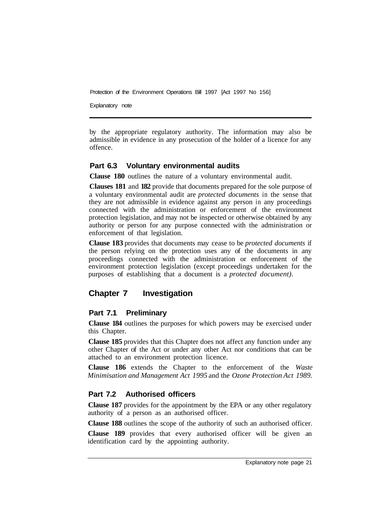Explanatory note

by the appropriate regulatory authority. The information may also be admissible in evidence in any prosecution of the holder of a licence for any offence.

#### **Part 6.3 Voluntary environmental audits**

**Clause 180** outlines the nature of a voluntary environmental audit.

**Clauses 181** and **182** provide that documents prepared for the sole purpose of a voluntary environmental audit are *protected documents* in the sense that they are not admissible in evidence against any person in any proceedings connected with the administration or enforcement of the environment protection legislation, and may not be inspected or otherwise obtained by any authority or person for any purpose connected with the administration or enforcement of that legislation.

**Clause 183** provides that documents may cease to be *protected documents* if the person relying on the protection uses any of the documents in any proceedings connected with the administration or enforcement of the environment protection legislation (except proceedings undertaken for the purposes of establishing that a document is a *protected document).* 

## **Chapter 7 Investigation**

#### **Part 7.1 Preliminary**

**Clause 184** outlines the purposes for which powers may be exercised under this Chapter.

**Clause 185** provides that this Chapter does not affect any function under any other Chapter of the Act or under any other Act nor conditions that can be attached to an environment protection licence.

**Clause 186** extends the Chapter to the enforcement of the *Waste Minimisation and Management Act 1995* and the *Ozone Protection Act 1989.* 

#### **Part 7.2 Authorised officers**

**Clause 187** provides for the appointment by the EPA or any other regulatory authority of a person as an authorised officer.

**Clause 188** outlines the scope of the authority of such an authorised officer.

**Clause 189** provides that every authorised officer will be given an identification card by the appointing authority.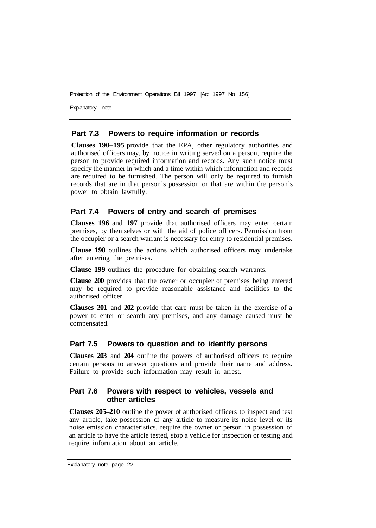Explanatory note

I

#### **Part 7.3 Powers to require information or records**

**Clauses 190–195** provide that the EPA, other regulatory authorities and authorised officers may, by notice in writing served on a person, require the person to provide required information and records. Any such notice must specify the manner in which and a time within which information and records are required to be furnished. The person will only be required to furnish records that are in that person's possession or that are within the person's power to obtain lawfully.

#### **Part 7.4 Powers of entry and search of premises**

**Clauses 196** and **197** provide that authorised officers may enter certain premises, by themselves or with the aid of police officers. Permission from the occupier or a search warrant is necessary for entry to residential premises.

**Clause 198** outlines the actions which authorised officers may undertake after entering the premises.

**Clause 199** outlines the procedure for obtaining search warrants.

**Clause 200** provides that the owner or occupier of premises being entered may be required to provide reasonable assistance and facilities to the authorised officer.

**Clauses 201** and **202** provide that care must be taken in the exercise of a power to enter or search any premises, and any damage caused must be compensated.

#### **Part 7.5 Powers to question and to identify persons**

**Clauses 203** and **204** outline the powers of authorised officers to require certain persons to answer questions and provide their name and address. Failure to provide such information may result in arrest.

#### **Part 7.6 Powers with respect to vehicles, vessels and other articles**

**Clauses 205–210** outline the power of authorised officers to inspect and test any article, take possession of any article to measure its noise level or its noise emission characteristics, require the owner or person in possession of an article to have the article tested, stop a vehicle for inspection or testing and require information about an article.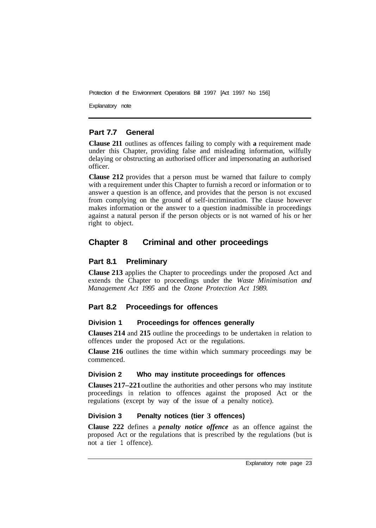Explanatory note

## **Part 7.7 General**

**Clause 211** outlines as offences failing to comply with **a** requirement made under this Chapter, providing false and misleading information, wilfully delaying or obstructing an authorised officer and impersonating an authorised officer.

**Clause 212** provides that a person must be warned that failure to comply with a requirement under this Chapter to furnish a record or information or to answer a question is an offence, and provides that the person is not excused from complying on the ground of self-incrimination. The clause however makes information or the answer to a question inadmissible in proceedings against a natural person if the person objects or is not warned of his or her right to object.

## **Chapter 8 Criminal and other proceedings**

## **Part 8.1 Preliminary**

**Clause 213** applies the Chapter to proceedings under the proposed Act and extends the Chapter to proceedings under the *Waste Minimisation and Management Act 1995* and the *Ozone Protection Act 1989.* 

## **Part 8.2 Proceedings for offences**

## **Division 1 Proceedings for offences generally**

**Clauses 214** and **215** outline the proceedings to be undertaken in relation to offences under the proposed Act or the regulations.

**Clause 216** outlines the time within which summary proceedings may be commenced.

#### **Division 2 Who may institute proceedings for offences**

**Clauses 217–221** outline the authorities and other persons who may institute proceedings in relation to offences against the proposed Act or the regulations (except by way of the issue of a penalty notice).

## **Division 3 Penalty notices (tier 3 offences)**

**Clause 222** defines a *penalty notice offence* as an offence against the proposed Act or the regulations that is prescribed by the regulations (but is not a tier 1 offence).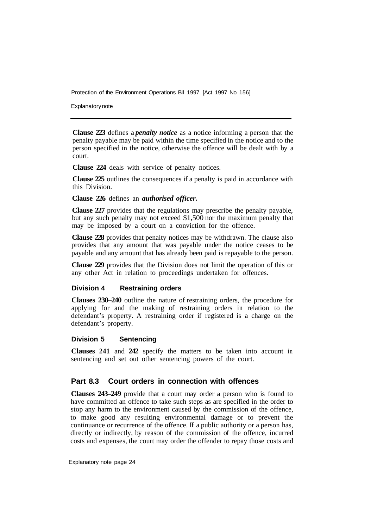Explanatory note

**Clause 223** defines a *penalty notice* as a notice informing a person that the penalty payable may be paid within the time specified in the notice and to the person specified in the notice, otherwise the offence will be dealt with by a court.

**Clause 224** deals with service of penalty notices.

**Clause 225** outlines the consequences if a penalty is paid in accordance with this Division.

**Clause 226** defines an *authorised officer.* 

**Clause 227** provides that the regulations may prescribe the penalty payable, but any such penalty may not exceed \$1,500 nor the maximum penalty that may be imposed by a court on a conviction for the offence.

**Clause 228** provides that penalty notices may be withdrawn. The clause also provides that any amount that was payable under the notice ceases to be payable and any amount that has already been paid is repayable to the person.

**Clause 229** provides that the Division does not limit the operation of this or any other Act in relation to proceedings undertaken for offences.

#### **Division 4 Restraining orders**

**Clauses 230–240** outline the nature of restraining orders, the procedure for applying for and the making of restraining orders in relation to the defendant's property. A restraining order if registered is a charge on the defendant's property.

#### **Division 5 Sentencing**

**Clauses 241** and **242** specify the matters to be taken into account in sentencing and set out other sentencing powers of the court.

#### **Part 8.3 Court orders in connection with offences**

**Clauses 243–249** provide that a court may order **a** person who is found to have committed an offence to take such steps as are specified in the order to stop any harm to the environment caused by the commission of the offence, to make good any resulting environmental damage or to prevent the continuance or recurrence of the offence. If a public authority or a person has, directly or indirectly, by reason of the commission of the offence, incurred costs and expenses, the court may order the offender to repay those costs and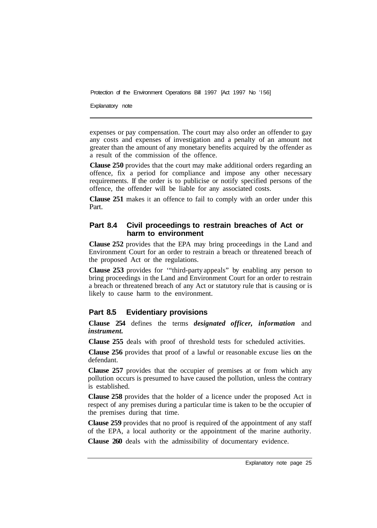Explanatory note

expenses or pay compensation. The court may also order an offender to gay any costs and expenses of investigation and a penalty of an amount not greater than the amount of any monetary benefits acquired by the offender as a result of the commission of the offence.

**Clause 250** provides that the court may make additional orders regarding an offence, fix a period for compliance and impose any other necessary requirements. If the order is to publicise or notify specified persons of the offence, the offender will be liable for any associated costs.

**Clause 251** makes it an offence to fail to comply with an order under this Part.

### **Part 8.4 Civil proceedings to restrain breaches of Act or harm to environment**

**Clause 252** provides that the EPA may bring proceedings in the Land and Environment Court for an order to restrain a breach or threatened breach of the proposed Act or the regulations.

**Clause 253** provides for '"third-party appeals" by enabling any person to bring proceedings in the Land and Environment Court for an order to restrain a breach or threatened breach of any Act or statutory rule that is causing or is likely to cause harm to the environment.

#### **Part 8.5 Evidentiary provisions**

**Clause 254** defines the terms *designated officer, information* and *instrument.* 

**Clause 255** deals with proof of threshold tests for scheduled activities.

**Clause 256** provides that proof of a lawful or reasonable excuse lies on the defendant.

**Clause 257** provides that the occupier of premises at or from which any pollution occurs is presumed to have caused the pollution, unless the contrary is established.

**Clause 258** provides that the holder of a licence under the proposed Act in respect of any premises during a particular time is taken to be the occupier of the premises during that time.

**Clause 259** provides that no proof is required of the appointment of any staff of the EPA, a local authority or the appointment of the marine authority.

**Clause 260** deals with the admissibility of documentary evidence.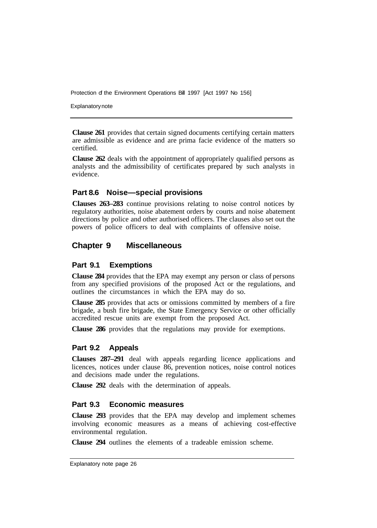Explanatory note

**Clause 261** provides that certain signed documents certifying certain matters are admissible as evidence and are prima facie evidence of the matters so certified.

**Clause 262** deals with the appointment of appropriately qualified persons as analysts and the admissibility of certificates prepared by such analysts in evidence.

#### **Part 8.6 Noise—special provisions**

**Clauses 263–283** continue provisions relating to noise control notices by regulatory authorities, noise abatement orders by courts and noise abatement directions by police and other authorised officers. The clauses also set out the powers of police officers to deal with complaints of offensive noise.

## **Chapter 9 Miscellaneous**

#### **Part 9.1 Exemptions**

**Clause 284** provides that the EPA may exempt any person or class of persons from any specified provisions of the proposed Act or the regulations, and outlines the circumstances in which the EPA may do so.

**Clause 285** provides that acts or omissions committed by members of a fire brigade, a bush fire brigade, the State Emergency Service or other officially accredited rescue units are exempt from the proposed Act.

**Clause 286** provides that the regulations may provide for exemptions.

#### **Part 9.2 Appeals**

**Clauses 287–291** deal with appeals regarding licence applications and licences, notices under clause 86, prevention notices, noise control notices and decisions made under the regulations.

**Clause 292** deals with the determination of appeals.

#### **Part 9.3 Economic measures**

**Clause 293** provides that the EPA may develop and implement schemes involving economic measures as a means of achieving cost-effective environmental regulation.

**Clause 294** outlines the elements of a tradeable emission scheme.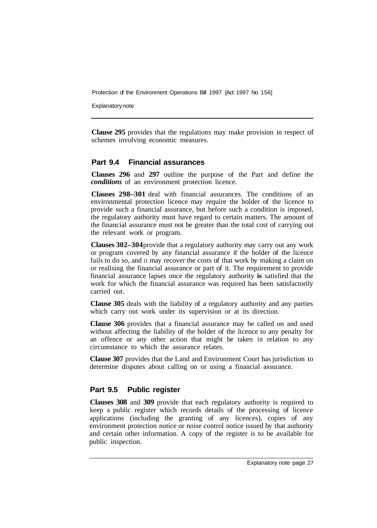Explanatory note

**Clause 295** provides that the regulations may make provision in respect of schemes involving economic measures.

## **Part 9.4 Financial assurances**

**Clauses 296** and **297** outline the purpose of the Part and define the *conditions* of an environment protection licence.

**Clauses 298–301** deal with financial assurances. The conditions of an environmental protection licence may require the holder of the licence to provide such a financial assurance, but before such a condition is imposed, the regulatory authority must have regard to certain matters. The amount of the financial assurance must not be greater than the total cost of carrying out the relevant work or program.

**Clauses 302–304** provide that a regulatory authority may carry out any work or program covered by any financial assurance if the holder of the licence fails to do so, and it may recover the costs of that work by making a claim on or realising the financial assurance or part of it. The requirement to provide financial assurance lapses once the regulatory authority **is** satisfied that the work for which the financial assurance was required has been satisfactorily carried out.

**Clause 305** deals with the liability of a regulatory authority and any parties which carry out work under its supervision or at its direction.

**Clause 306** provides that a financial assurance may be called on and used without affecting the liability of the holder of the licence to any penalty for an offence or any other action that might be taken in relation to any circumstance to which the assurance relates.

**Clause 307** provides that the Land and Environment Court has jurisdiction to determine disputes about calling on or using a financial assurance.

#### **Part 9.5 Public register**

**Clauses 308** and **309** provide that each regulatory authority is required to keep a public register which records details of the processing of licence applications (including the granting of any licences), copies of any environment protection notice or noise control notice issued by that authority and certain other information. A copy of the register is to be available for public inspection.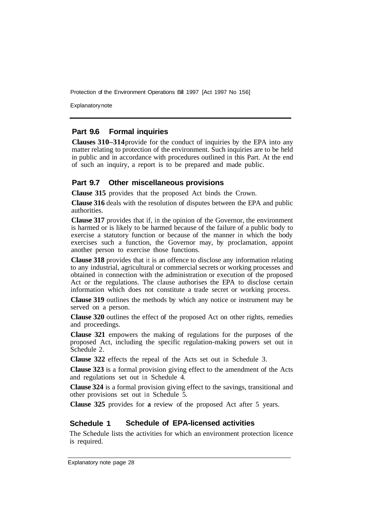Explanatory note

#### **Part 9.6 Formal inquiries**

**Clauses 310–314** provide for the conduct of inquiries by the EPA into any matter relating to protection of the environment. Such inquiries are to be held in public and in accordance with procedures outlined in this Part. At the end of such an inquiry, a report is to be prepared and made public.

#### **Part 9.7 Other miscellaneous provisions**

**Clause 315** provides that the proposed Act binds the Crown.

**Clause 316** deals with the resolution of disputes between the EPA and public authorities.

**Clause 317** provides that if, in the opinion of the Governor, the environment is harmed or is likely to be harmed because of the failure of a public body to exercise a statutory function or because of the manner in which the body exercises such a function, the Governor may, by proclamation, appoint another person to exercise those functions.

**Clause 318** provides that it is an offence to disclose any information relating to any industrial, agricultural or commercial secrets or working processes and obtained in connection with the administration or execution of the proposed Act or the regulations. The clause authorises the EPA to disclose certain information which does not constitute a trade secret or working process.

**Clause 319** outlines the methods by which any notice or instrument may be served on a person.

**Clause 320** outlines the effect of the proposed Act on other rights, remedies and proceedings.

**Clause 321** empowers the making of regulations for the purposes of the proposed Act, including the specific regulation-making powers set out in Schedule 2.

**Clause 322** effects the repeal of the Acts set out in Schedule 3.

**Clause 323** is a formal provision giving effect to the amendment of the Acts and regulations set out in Schedule 4.

**Clause 324** is a formal provision giving effect to the savings, transitional and other provisions set out in Schedule 5.

**Clause 325** provides for **a** review of the proposed Act after 5 years.

## **Schedule 1 Schedule of EPA-licensed activities**

The Schedule lists the activities for which an environment protection licence is required.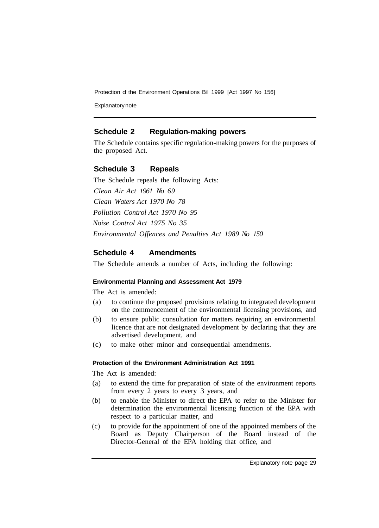Explanatory note

#### **Schedule 2 Regulation-making powers**

The Schedule contains specific regulation-making powers for the purposes of the proposed Act.

#### **Schedule 3 Repeals**

The Schedule repeals the following Acts: *Clean Air Act 1961 No 69 Clean Waters Act 1970 No 78 Pollution Control Act 1970 No 95 Noise Control Act 1975 No 35 Environmental Offences and Penalties Act 1989 No 150* 

#### **Schedule 4 Amendments**

The Schedule amends a number of Acts, including the following:

#### **Environmental Planning and Assessment Act 1979**

The Act is amended:

- (a) to continue the proposed provisions relating to integrated development on the commencement of the environmental licensing provisions, and
- (b) to ensure public consultation for matters requiring an environmental licence that are not designated development by declaring that they are advertised development, and
- (c) to make other minor and consequential amendments.

#### **Protection of the Environment Administration Act 1991**

The Act is amended:

- (a) to extend the time for preparation of state of the environment reports from every 2 years to every 3 years, and
- (b) to enable the Minister to direct the EPA to refer to the Minister for determination the environmental licensing function of the EPA with respect to a particular matter, and
- (c) to provide for the appointment of one of the appointed members of the Board as Deputy Chairperson of the Board instead of the Director-General of the EPA holding that office, and